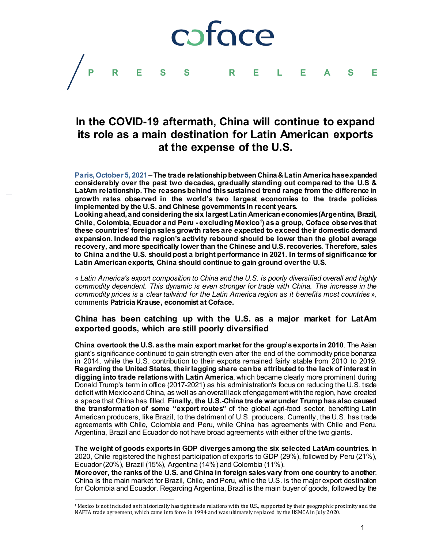pface **PRESS RELEASE**

# **In the COVID-19 aftermath, China will continue to expand its role as a main destination for Latin American exports at the expense of the U.S.**

**Paris, October 5, 2021**–**The trade relationship between China &Latin America has expanded considerably over the past two decades, gradually standing out compared to the U.S & LatAm relationship. The reasons behind this sustained trend range from the difference in growth rates observed in the world's two largest economies to the trade policies implemented by the U.S. and Chinese governments in recent years.** 

**Looking ahead, and considering the six largest Latin American economies (Argentina, Brazil, Chile, Colombia, Ecuador and Peru - excluding Mexico[1](#page-0-0) ) as a group, Coface observes that these countries' foreign sales growth rates are expected to exceed their domestic demand expansion. Indeed the region's activity rebound should be lower than the global average recovery, and more specifically lower than the Chinese and U.S. recoveries. Therefore, sales to China and the U.S. should post a bright performance in 2021. In terms of significance for Latin American exports, China should continue to gain ground over the U.S.** 

« *Latin America's export composition to China and the U.S. is poorly diversified overall and highly commodity dependent. This dynamic is even stronger for trade with China. The increase in the commodity prices is a clear tailwind for the Latin America region as it benefits most countries* », comments **Patricia Krause, economist at Coface.**

# **China has been catching up with the U.S. as a major market for LatAm exported goods, which are still poorly diversified**

**China overtook the U.S. as the main export market for the group's exportsin 2010**. The Asian giant's significance continued to gain strength even after the end of the commodity price bonanza in 2014, while the U.S. contribution to their exports remained fairly stable from 2010 to 2019. **Regarding the United States, their lagging share can be attributed to the lack of interest in digging into trade relations with Latin America**, which became clearly more prominent during Donald Trump's term in office (2017-2021) as his administration's focus on reducing the U.S. trade deficit with Mexico and China, as well as an overall lack of engagement with the region, have created a space that China has filled. **Finally, the U.S.-China trade war under Trump has also caused the transformation of some "export routes"** of the global agri-food sector, benefiting Latin American producers, like Brazil, to the detriment of U.S. producers. Currently, the U.S. has trade agreements with Chile, Colombia and Peru, while China has agreements with Chile and Peru. Argentina, Brazil and Ecuador do not have broad agreements with either of the two giants.

**The weight of goods exports in GDP diverges among the six selected LatAm countries.** In 2020, Chile registered the highest participation of exports to GDP (29%), followed by Peru (21%), Ecuador (20%), Brazil (15%), Argentina (14%) and Colombia (11%).

**Moreover, the ranks of the U.S. and China in foreign sales vary from one country to another**. China is the main market for Brazil, Chile, and Peru, while the U.S. is the major export destination for Colombia and Ecuador. Regarding Argentina, Brazil is the main buyer of goods, followed by the

<span id="page-0-0"></span> $1$  Mexico is not included as it historically has tight trade relations with the U.S., supported by their geographic proximity and the NAFTA trade agreement, which came into force in 1994 and was ultimately replaced by the USMCA in July 2020.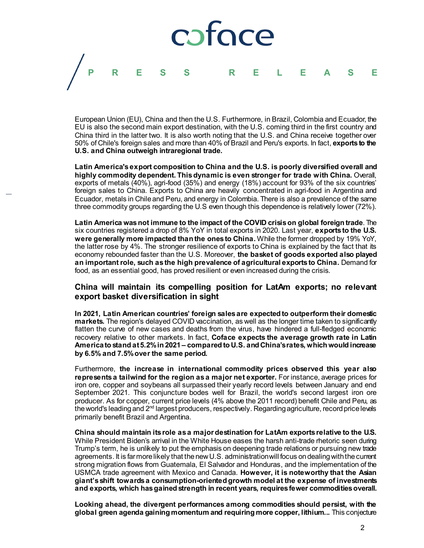

European Union (EU), China and then the U.S. Furthermore, in Brazil, Colombia and Ecuador, the EU is also the second main export destination, with the U.S. coming third in the first country and China third in the latter two. It is also worth noting that the U.S. and China receive together over 50% of Chile's foreign sales and more than 40% of Brazil and Peru's exports. In fact, **exports to the U.S. and China outweigh intraregional trade.**

**Latin America's export composition to China and the U.S. is poorly diversified overall and highly commodity dependent. Thisdynamic is even stronger for trade with China.** Overall, exports of metals (40%), agri-food (35%) and energy (18%) account for 93% of the six countries' foreign sales to China. Exports to China are heavily concentrated in agri-food in Argentina and Ecuador, metals in Chile and Peru, and energy in Colombia. There is also a prevalence of the same three commodity groups regarding the U.S even though this dependence is relatively lower (72%).

**Latin America wasnot immune to the impact of the COVID crisison global foreign trade**. The six countries registered a drop of 8% YoY in total exports in 2020. Last year, **exports to the U.S. were generally more impacted than the ones to China.** While the former dropped by 19% YoY, the latter rose by 4%. The stronger resilience of exports to China is explained by the fact that its economy rebounded faster than the U.S. Moreover, **the basket of goods exported also played an important role, such as the high prevalence of agricultural exports to China.** Demand for food, as an essential good, has proved resilient or even increased during the crisis.

## **China will maintain its compelling position for LatAm exports; no relevant export basket diversification in sight**

**In 2021, Latin American countries' foreign sales are expected to outperform their domestic markets.** The region's delayed COVID vaccination, as well as the longer time taken to significantly flatten the curve of new cases and deaths from the virus, have hindered a full-fledged economic recovery relative to other markets. In fact, **Coface expects the average growth rate in Latin America to stand at 5.2% in 2021– compared to U.S. and China's rates, which would increase by 6.5% and 7.5% over the same period.**

Furthermore, **the increase in international commodity prices observed this year also represents a tailwind for the region as a major net exporter.** For instance, average prices for iron ore, copper and soybeans all surpassed their yearly record levels between January and end September 2021. This conjuncture bodes well for Brazil, the world's second largest iron ore producer. As for copper, current price levels (4% above the 2011 record) benefit Chile and Peru, as the world's leading and 2<sup>nd</sup> largest producers, respectively. Regarding agriculture, record price levels primarily benefit Brazil and Argentina.

**China should maintain its role as a major destination for LatAm exports relative to the U.S.**  While President Biden's arrival in the White House eases the harsh anti-trade rhetoric seen during Trump's term, he is unlikely to put the emphasis on deepening trade relations or pursuing new trade agreements. It is far more likely that the new U.S. administration will focus on dealing with the current strong migration flows from Guatemala, El Salvador and Honduras, and the implementation of the USMCA trade agreement with Mexico and Canada. **However, it is noteworthy that the Asian giant's shift towards a consumption-oriented growth model at the expense of investments and exports, which has gained strength in recent years, requires fewer commodities overall.** 

**Looking ahead, the divergent performances among commodities should persist, with the global green agenda gaining momentum and requiring more copper, lithium...** This conjecture